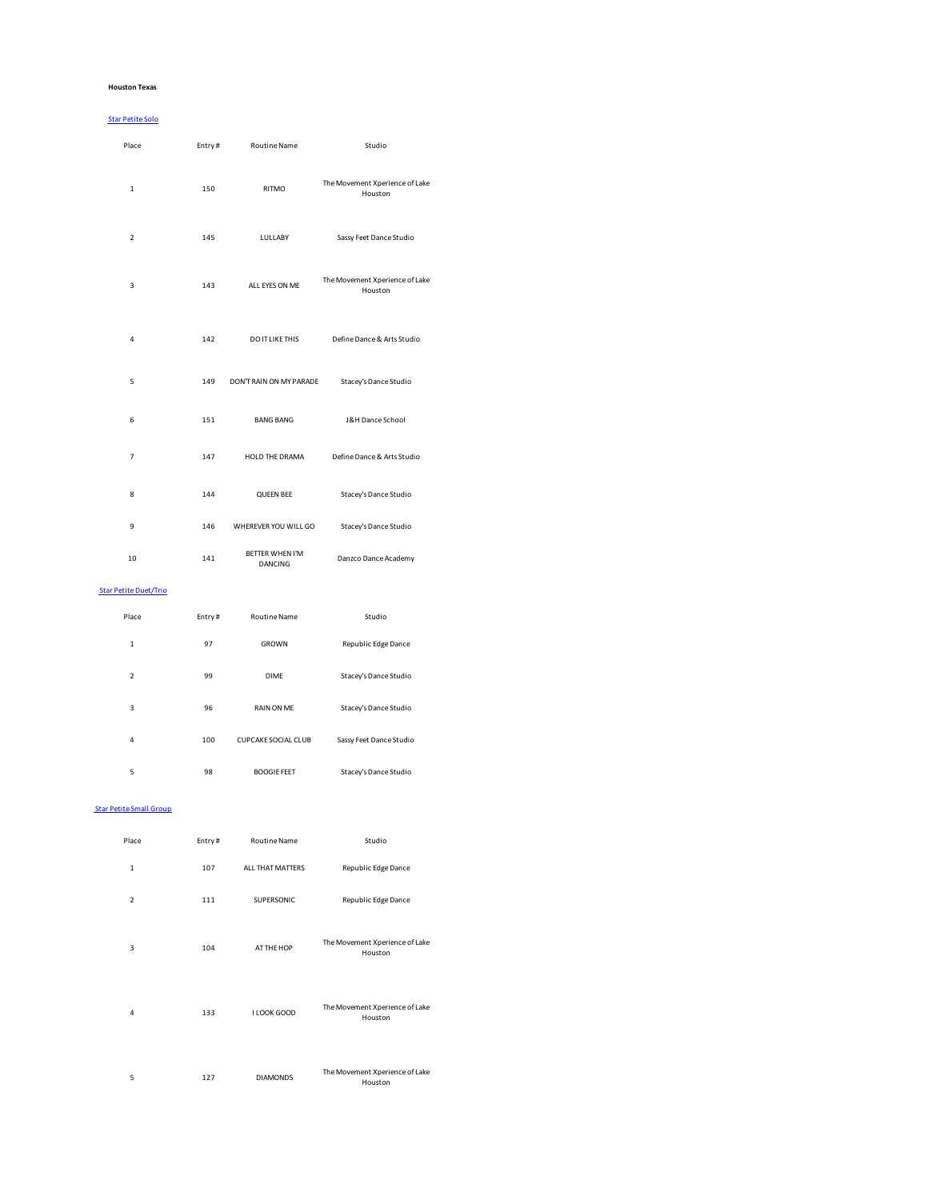### **Houston Texas**

## Star Petite Solo

| Place                        | Entry# | <b>Routine Name</b>               | Studio                                    |
|------------------------------|--------|-----------------------------------|-------------------------------------------|
| $\mathbf{1}$                 | 150    | <b>RITMO</b>                      | The Movement Xperience of Lake<br>Houston |
| $\overline{2}$               | 145    | LULLABY                           | Sassy Feet Dance Studio                   |
| 3                            | 143    | ALL EYES ON ME                    | The Movement Xperience of Lake<br>Houston |
| 4                            | 142    | DO IT LIKE THIS                   | Define Dance & Arts Studio                |
| 5                            | 149    | DON'T RAIN ON MY PARADE           | Stacey's Dance Studio                     |
| 6                            | 151    | <b>BANG BANG</b>                  | J&H Dance School                          |
| $\overline{7}$               | 147    | HOLD THE DRAMA                    | Define Dance & Arts Studio                |
| 8                            | 144    | <b>QUEEN BEE</b>                  | Stacey's Dance Studio                     |
| 9                            | 146    | WHEREVER YOU WILL GO              | Stacey's Dance Studio                     |
| 10                           | 141    | <b>BETTER WHEN I'M</b><br>DANCING | Danzco Dance Academy                      |
| <b>Star Petite Duet/Trio</b> |        |                                   |                                           |
| Place                        | Entry# | Routine Name                      | Studio                                    |
| $\mathbf{1}$                 | 97     | GROWN                             | Republic Edge Dance                       |
| $\mathbf 2$                  | 99     | <b>DIME</b>                       | Stacey's Dance Studio                     |

| 3 | 96  | <b>RAIN ON ME</b>          | Stacey's Dance Studio   |
|---|-----|----------------------------|-------------------------|
| 4 | 100 | <b>CUPCAKE SOCIAL CLUB</b> | Sassy Feet Dance Studio |
| 5 | 98  | <b>BOOGIE FEET</b>         | Stacey's Dance Studio   |

## Star Petite Small Group

| Place          | Entry# | <b>Routine Name</b> | Studio                                    |
|----------------|--------|---------------------|-------------------------------------------|
| $\mathbf{1}$   | 107    | ALL THAT MATTERS    | Republic Edge Dance                       |
| $\overline{2}$ | 111    | SUPERSONIC          | Republic Edge Dance                       |
| 3              | 104    | AT THE HOP          | The Movement Xperience of Lake<br>Houston |
| 4              | 133    | I LOOK GOOD         | The Movement Xperience of Lake<br>Houston |
| 5              | 127    | <b>DIAMONDS</b>     | The Movement Xperience of Lake<br>Houston |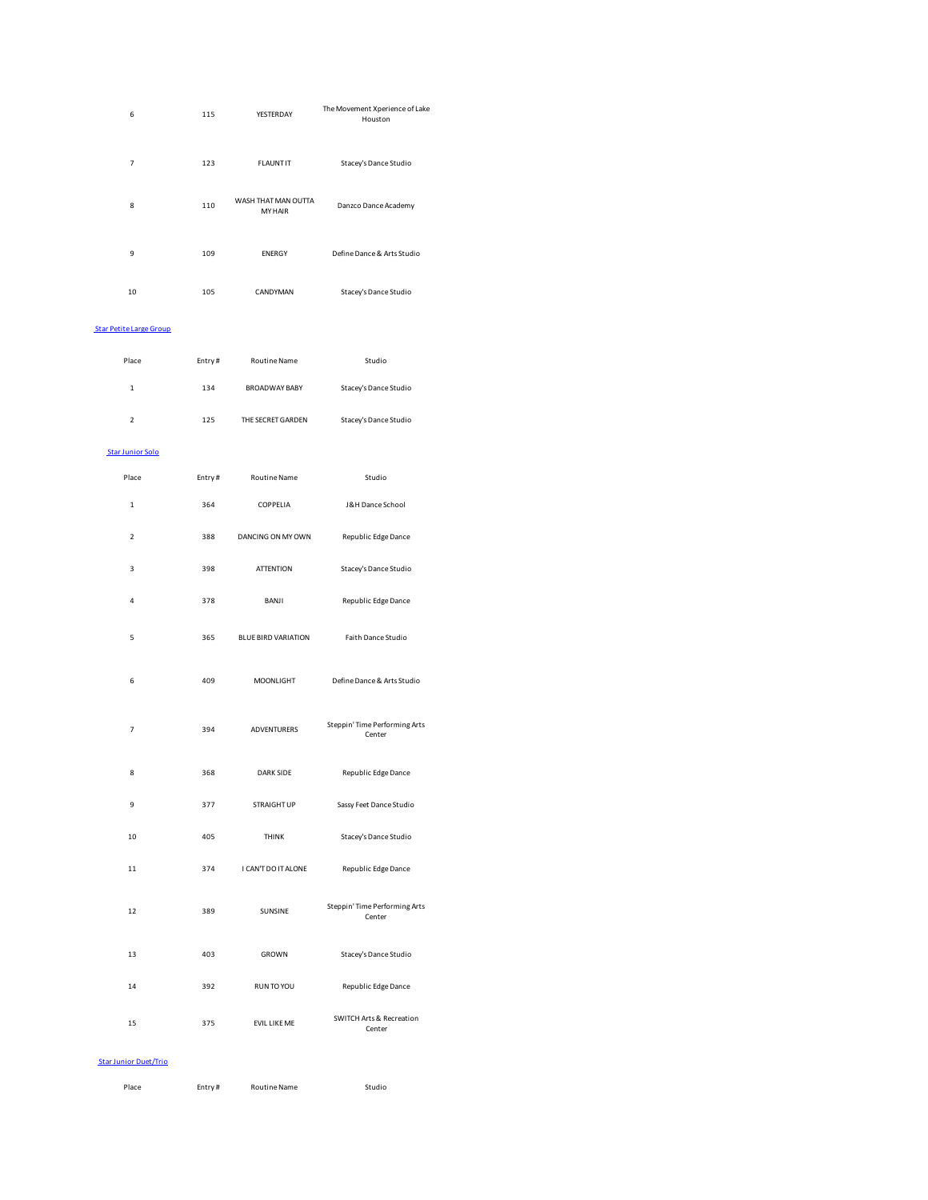| 6                              | 115    | YESTERDAY                             | The Movement Xperience of Lake<br>Houston     |
|--------------------------------|--------|---------------------------------------|-----------------------------------------------|
| 7                              | 123    | <b>FLAUNTIT</b>                       | Stacey's Dance Studio                         |
| 8                              | 110    | WASH THAT MAN OUTTA<br><b>MY HAIR</b> | Danzco Dance Academy                          |
| 9                              | 109    | <b>ENERGY</b>                         | Define Dance & Arts Studio                    |
| $10\,$                         | 105    | CANDYMAN                              | Stacey's Dance Studio                         |
| <b>Star Petite Large Group</b> |        |                                       |                                               |
| Place                          | Entry# | Routine Name                          | Studio                                        |
| 1                              | 134    | <b>BROADWAY BABY</b>                  | Stacey's Dance Studio                         |
| $\overline{\mathbf{c}}$        | 125    | THE SECRET GARDEN                     | Stacey's Dance Studio                         |
| <b>Star Junior Solo</b>        |        |                                       |                                               |
| Place                          | Entry# | Routine Name                          | Studio                                        |
| $\mathbf 1$                    | 364    | COPPELIA                              | J&H Dance School                              |
| $\overline{\mathbf{c}}$        | 388    | DANCING ON MY OWN                     | Republic Edge Dance                           |
| 3                              | 398    | <b>ATTENTION</b>                      | Stacey's Dance Studio                         |
| $\overline{4}$                 | 378    | BANJI                                 | Republic Edge Dance                           |
| 5                              | 365    | <b>BLUE BIRD VARIATION</b>            | Faith Dance Studio                            |
| 6                              | 409    | MOONLIGHT                             | Define Dance & Arts Studio                    |
| 7                              | 394    | <b>ADVENTURERS</b>                    | Steppin' Time Performing Arts<br>Center       |
| 8                              | 368    | <b>DARK SIDE</b>                      | Republic Edge Dance                           |
| 9                              | 377    | <b>STRAIGHT UP</b>                    | Sassy Feet Dance Studio                       |
| $10\,$                         | 405    | <b>THINK</b>                          | Stacey's Dance Studio                         |
| 11                             | 374    | I CAN'T DO IT ALONE                   | Republic Edge Dance                           |
| 12                             | 389    | SUNSINE                               | Steppin' Time Performing Arts<br>Center       |
| 13                             | 403    | GROWN                                 | Stacey's Dance Studio                         |
| 14                             | 392    | RUN TO YOU                            | Republic Edge Dance                           |
| 15                             | 375    | EVIL LIKE ME                          | <b>SWITCH Arts &amp; Recreation</b><br>Center |

## Star Junior Duet/Trio

| Place |  |
|-------|--|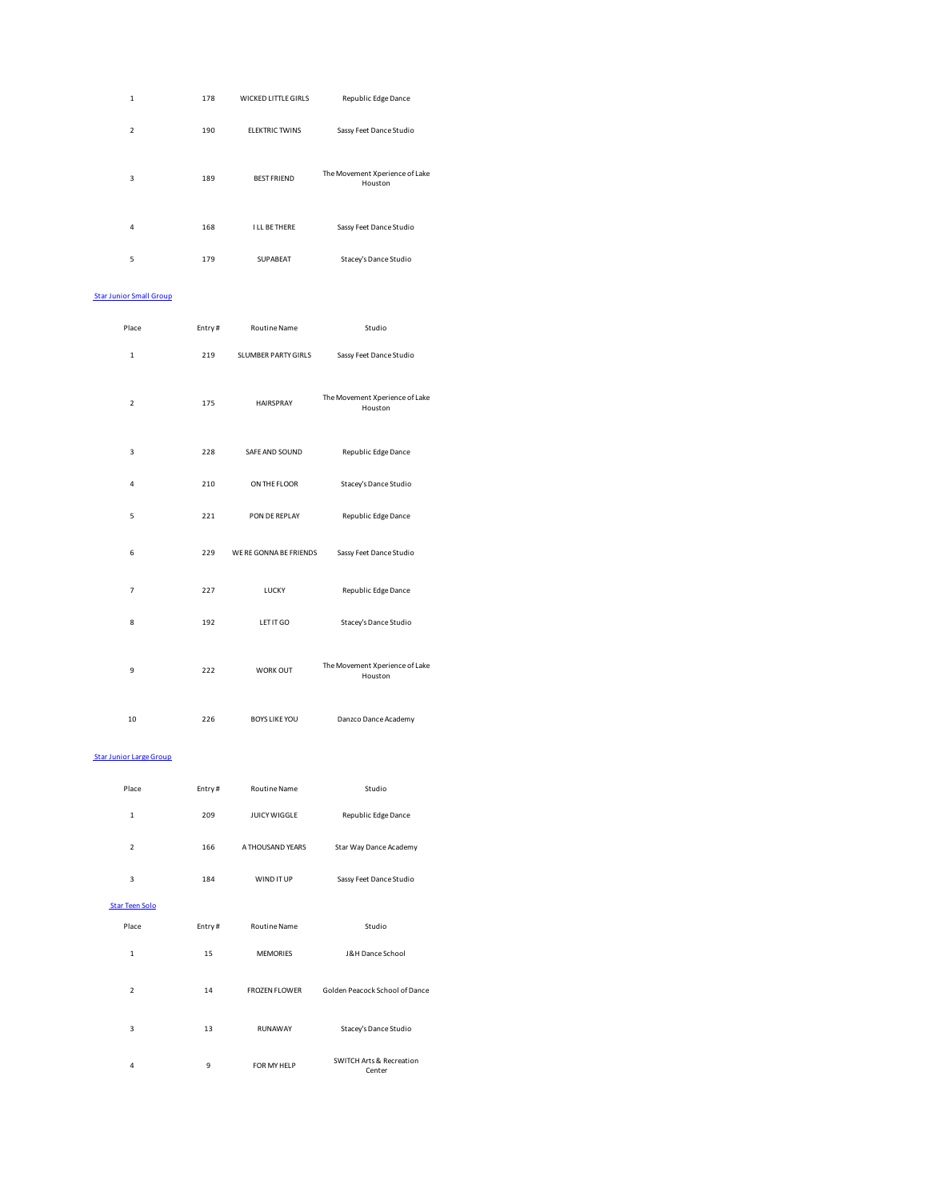| $\mathbf{1}$   | 178 | WICKED LITTLE GIRLS   | Republic Edge Dance                       |
|----------------|-----|-----------------------|-------------------------------------------|
| $\overline{2}$ | 190 | <b>FLEKTRIC TWINS</b> | Sassy Feet Dance Studio                   |
| 3              | 189 | <b>BEST FRIEND</b>    | The Movement Xperience of Lake<br>Houston |
| 4              | 168 | <b>I LL BE THERE</b>  | Sassy Feet Dance Studio                   |
| 5              | 179 | SUPABEAT              | Stacey's Dance Studio                     |

#### Star Junior Small Group

| Place          | Entry# | <b>Routine Name</b>    | Studio                                    |
|----------------|--------|------------------------|-------------------------------------------|
| 1              | 219    | SLUMBER PARTY GIRLS    | Sassy Feet Dance Studio                   |
| $\overline{2}$ | 175    | <b>HAIRSPRAY</b>       | The Movement Xperience of Lake<br>Houston |
| 3              | 228    | SAFE AND SOUND         | Republic Edge Dance                       |
| 4              | 210    | ON THE FLOOR           | Stacey's Dance Studio                     |
| 5              | 221    | PON DE REPLAY          | Republic Edge Dance                       |
| 6              | 229    | WE RE GONNA BE FRIENDS | Sassy Feet Dance Studio                   |
| $\overline{7}$ | 227    | LUCKY                  | Republic Edge Dance                       |
| 8              | 192    | LET IT GO              | Stacey's Dance Studio                     |
| 9              | 222    | WORK OUT               | The Movement Xperience of Lake<br>Houston |
| 10             | 226    | <b>BOYS LIKE YOU</b>   | Danzco Dance Academy                      |

## Star Junior Large Group

| Place                    | Entry# | <b>Routine Name</b>  | Studio                             |
|--------------------------|--------|----------------------|------------------------------------|
| $\mathbf{1}$             | 209    | JUICY WIGGLE         | Republic Edge Dance                |
| $\overline{2}$           | 166    | A THOUSAND YEARS     | Star Way Dance Academy             |
| 3                        | 184    | WIND IT UP           | Sassy Feet Dance Studio            |
| <b>Star Teen Solo</b>    |        |                      |                                    |
| Place                    | Entry# | <b>Routine Name</b>  | Studio                             |
| $\mathbf{1}$             | 15     | <b>MEMORIES</b>      | <b>J&amp;H Dance School</b>        |
| $\overline{\phantom{a}}$ | 14     | <b>FROZEN FLOWER</b> | Golden Peacock School of Dance     |
| 3                        | 13     | <b>RUNAWAY</b>       | Stacey's Dance Studio              |
| 4                        | 9      | FOR MY HELP          | SWITCH Arts & Recreation<br>Center |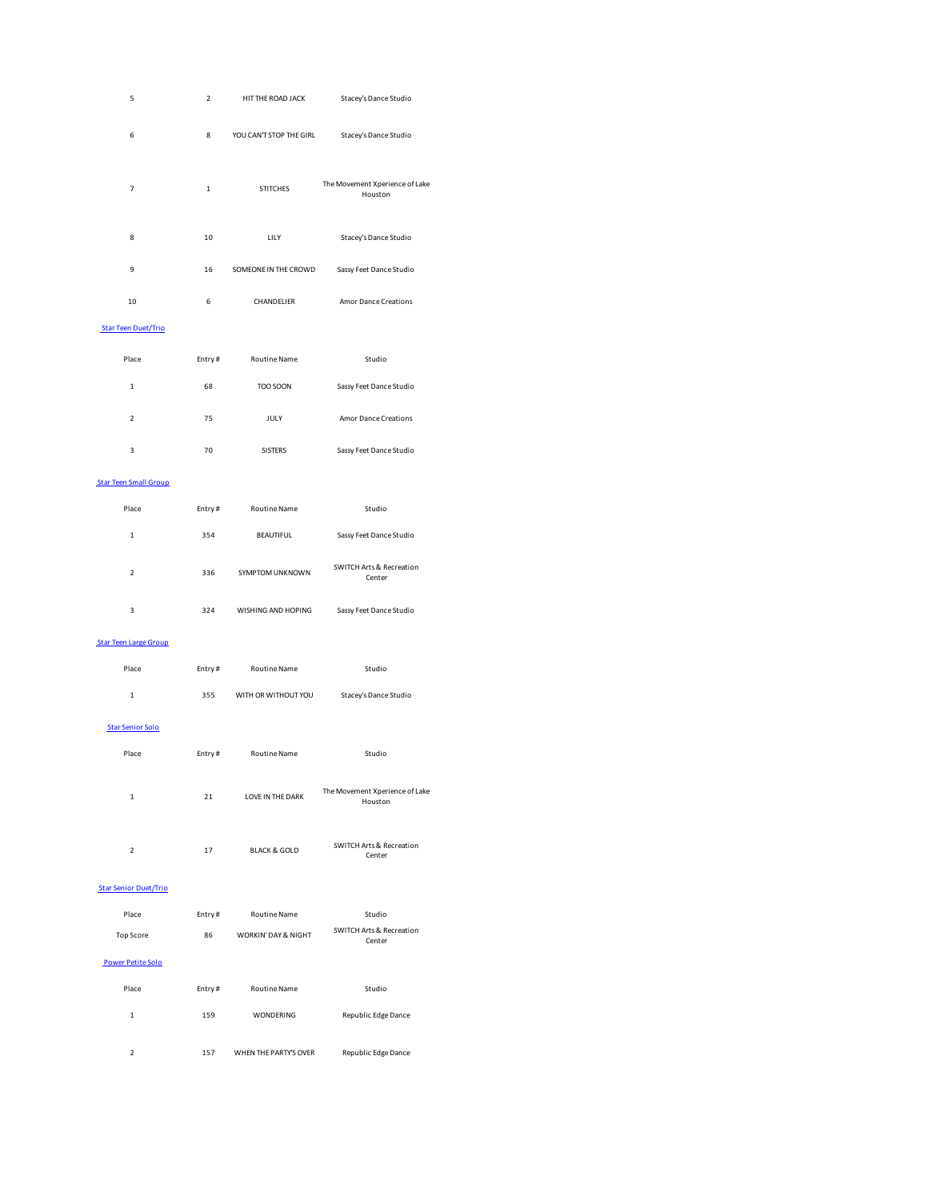| 5                            | $\overline{2}$ | HIT THE ROAD JACK       | Stacey's Dance Studio                         |
|------------------------------|----------------|-------------------------|-----------------------------------------------|
| 6                            | 8              | YOU CAN'T STOP THE GIRL | Stacey's Dance Studio                         |
| $\overline{7}$               | $\mathbf 1$    | <b>STITCHES</b>         | The Movement Xperience of Lake<br>Houston     |
| 8                            | 10             | LILY                    | Stacey's Dance Studio                         |
| 9                            | 16             | SOMEONE IN THE CROWD    | Sassy Feet Dance Studio                       |
| 10                           | 6              | CHANDELIER              | Amor Dance Creations                          |
| <b>Star Teen Duet/Trio</b>   |                |                         |                                               |
| Place                        | Entry#         | Routine Name            | Studio                                        |
| $\mathbf{1}$                 | 68             | TOO SOON                | Sassy Feet Dance Studio                       |
| $\overline{\mathbf{c}}$      | 75             | JULY                    | Amor Dance Creations                          |
| 3                            | 70             | <b>SISTERS</b>          | Sassy Feet Dance Studio                       |
| <b>Star Teen Small Group</b> |                |                         |                                               |
| Place                        | Entry#         | Routine Name            | Studio                                        |
| $\mathbf 1$                  | 354            | BEAUTIFUL               | Sassy Feet Dance Studio                       |
| $\overline{\mathbf{c}}$      | 336            | SYMPTOM UNKNOWN         | <b>SWITCH Arts &amp; Recreation</b><br>Center |
| 3                            | 324            | WISHING AND HOPING      | Sassy Feet Dance Studio                       |
| <b>Star Teen Large Group</b> |                |                         |                                               |
| Place                        | Entry#         | Routine Name            | Studio                                        |
| $\mathbf 1$                  | 355            | WITH OR WITHOUT YOU     | Stacey's Dance Studio                         |
| <b>Star Senior Solo</b>      |                |                         |                                               |
| Place                        | Entry#         | <b>Routine Name</b>     | Studio                                        |
| 1                            | 21             | LOVE IN THE DARK        | The Movement Xperience of Lake<br>Houston     |
| $\overline{2}$               | 17             | <b>BLACK &amp; GOLD</b> | <b>SWITCH Arts &amp; Recreation</b><br>Center |
| <b>Star Senior Duet/Trio</b> |                |                         |                                               |
| Place                        | Entry#         | Routine Name            | Studio                                        |
| <b>Top Score</b>             | 86             | WORKIN' DAY & NIGHT     | <b>SWITCH Arts &amp; Recreation</b><br>Center |
| <b>Power Petite Solo</b>     |                |                         |                                               |
| Place                        | Entry#         | Routine Name            | Studio                                        |
| $\mathbf 1$                  | 159            | WONDERING               | Republic Edge Dance                           |
| $\overline{\mathbf{c}}$      | 157            | WHEN THE PARTY'S OVER   | Republic Edge Dance                           |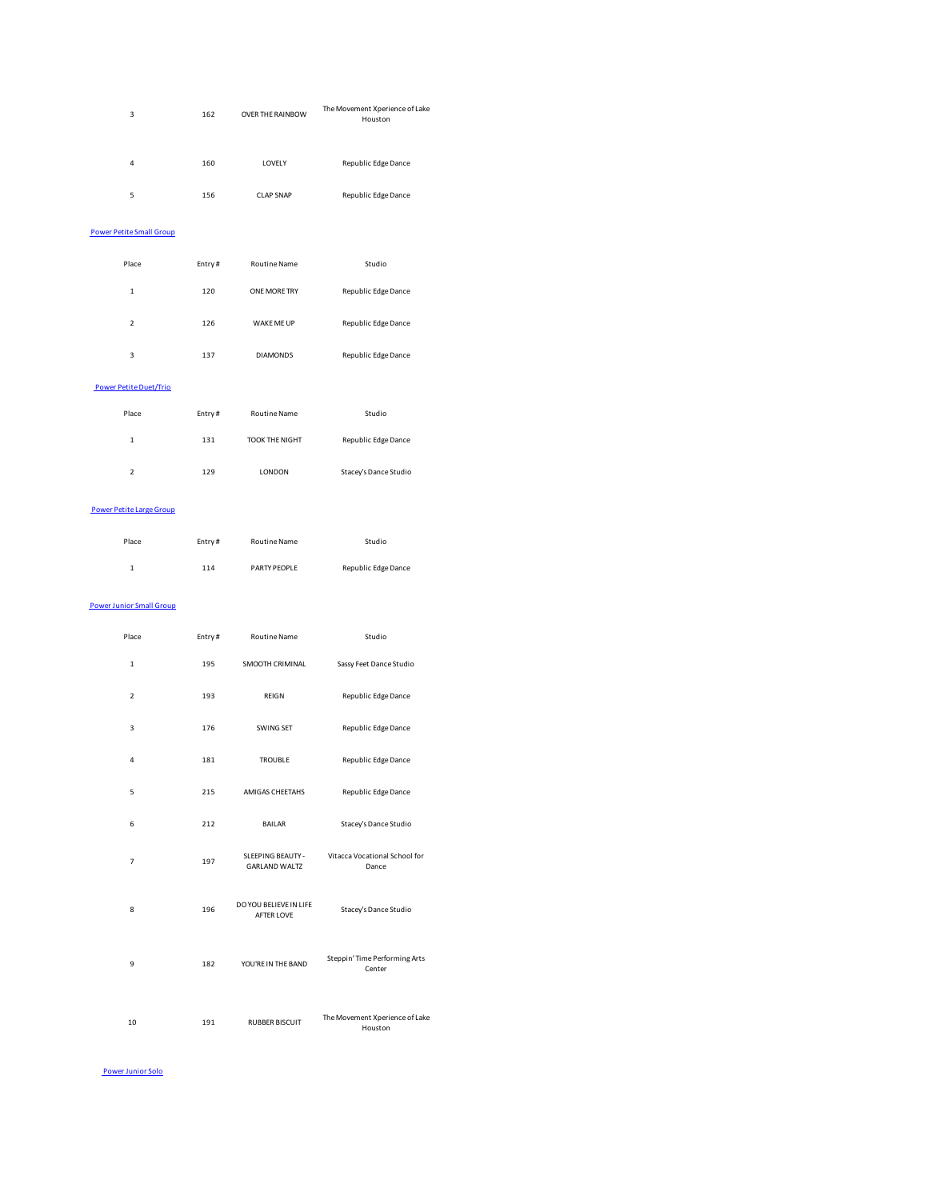| 3                               | 162    | OVER THE RAINBOW                     | The Movement Xperience of Lake<br>Houston                |
|---------------------------------|--------|--------------------------------------|----------------------------------------------------------|
| 4                               | 160    | LOVELY                               | Republic Edge Dance                                      |
| 5                               | 156    | <b>CLAP SNAP</b>                     | Republic Edge Dance                                      |
| <b>Power Petite Small Group</b> |        |                                      |                                                          |
| Place                           | Entry# | Routine Name                         | Studio                                                   |
| $\mathbf 1$                     | 120    | ONE MORE TRY                         | Republic Edge Dance                                      |
| $\overline{\mathbf{c}}$         | 126    | WAKE ME UP                           | Republic Edge Dance                                      |
| 3                               | 137    | <b>DIAMONDS</b>                      | Republic Edge Dance                                      |
| <b>Power Petite Duet/Trio</b>   |        |                                      |                                                          |
| Place                           | Entry# | Routine Name                         | Studio                                                   |
| $\mathbf 1$                     | 131    | TOOK THE NIGHT                       | Republic Edge Dance                                      |
| $\overline{\mathbf{c}}$         | 129    | LONDON                               | Stacey's Dance Studio                                    |
| <b>Power Petite Large Group</b> |        |                                      |                                                          |
| Place                           | Entry# | Routine Name                         | Studio                                                   |
| $\mathbf 1$                     | 114    | PARTY PEOPLE                         | Republic Edge Dance                                      |
| <b>Power Junior Small Group</b> |        |                                      |                                                          |
| Place                           | Entry# | Routine Name                         | Studio                                                   |
| 1                               | 195    | SMOOTH CRIMINAL                      | Sassy Feet Dance Studio                                  |
| 2                               | 193    | REIGN                                | Republic Edge Dance                                      |
| 3                               | 176    | SWING SET                            | Republic Edge Dance                                      |
| $\overline{a}$                  | 181    | <b>TROUBLE</b>                       | Republic Edge Dance                                      |
| 5                               | 215    | AMIGAS CHEETAHS                      | Republic Edge Dance                                      |
| 6                               | 212    | BAILAR                               | Stacey's Dance Studio                                    |
| $\overline{7}$                  | 197    | <b>GARLAND WALTZ</b>                 | SLEEPING BEAUTY - Vitacca Vocational School for<br>Dance |
| 8                               | 196    | DO YOU BELIEVE IN LIFE<br>AFTER LOVE | Stacey's Dance Studio                                    |
| 9                               | 182    | YOU'RE IN THE BAND                   | Steppin' Time Performing Arts<br>Center                  |

10 191 RUBBER BISCUIT The Movement Xperience of Lake Houston

Power Junior Solo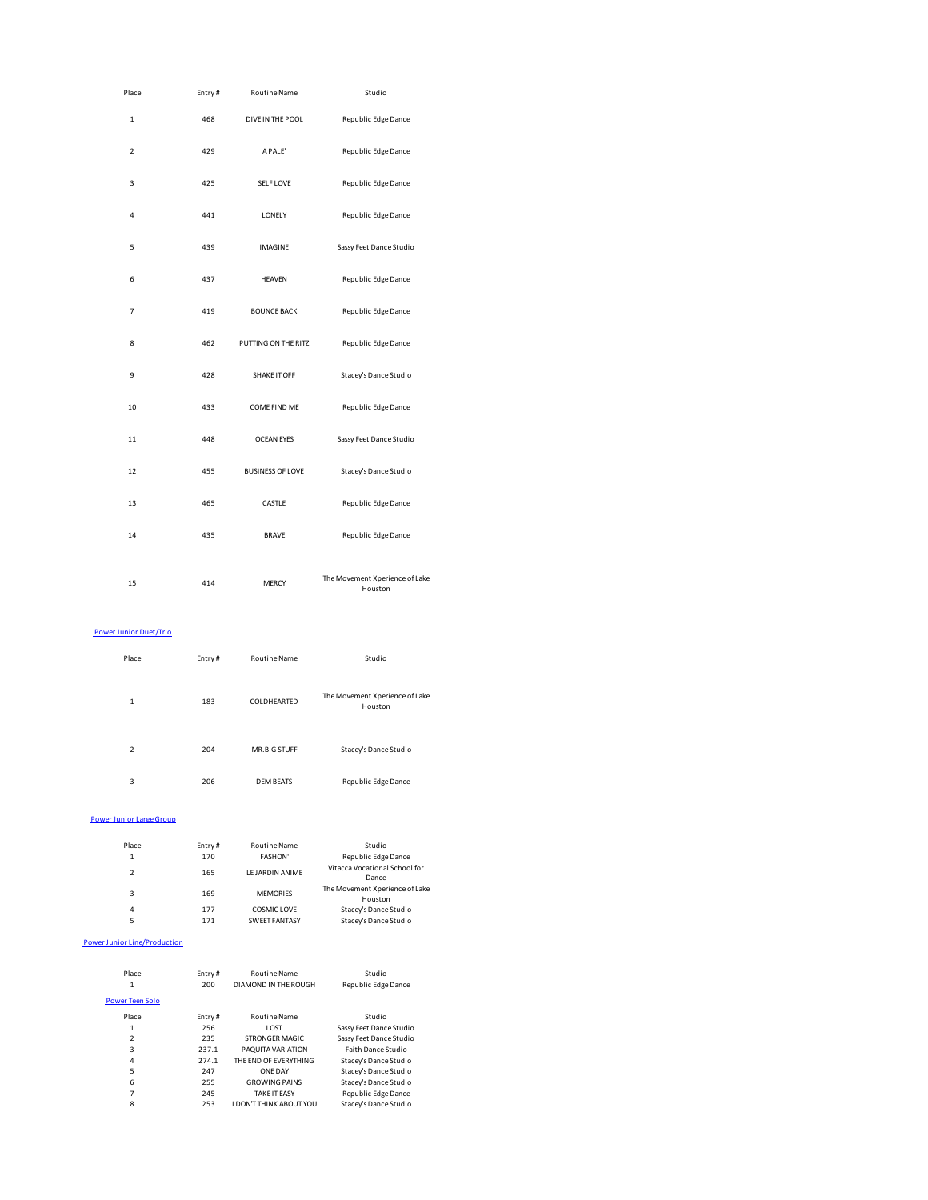| Place          | Entry# | <b>Routine Name</b>     | Studio                         |
|----------------|--------|-------------------------|--------------------------------|
| $\mathbf{1}$   | 468    | DIVE IN THE POOL        | Republic Edge Dance            |
| $\overline{2}$ | 429    | A PALE'                 | Republic Edge Dance            |
| 3              | 425    | SELF LOVE               | Republic Edge Dance            |
| 4              | 441    | LONELY                  | Republic Edge Dance            |
| 5              | 439    | <b>IMAGINE</b>          | Sassy Feet Dance Studio        |
| 6              | 437    | <b>HEAVEN</b>           | Republic Edge Dance            |
| $\overline{7}$ | 419    | <b>BOUNCE BACK</b>      | Republic Edge Dance            |
| 8              | 462    | PUTTING ON THE RITZ     | Republic Edge Dance            |
| 9              | 428    | SHAKE IT OFF            | Stacey's Dance Studio          |
| 10             | 433    | COME FIND ME            | Republic Edge Dance            |
| 11             | 448    | <b>OCEAN EYES</b>       | Sassy Feet Dance Studio        |
| 12             | 455    | <b>BUSINESS OF LOVE</b> | Stacey's Dance Studio          |
| 13             | 465    | CASTLE                  | Republic Edge Dance            |
| 14             | 435    | <b>BRAVE</b>            | Republic Edge Dance            |
|                |        |                         | The Movement Xperience of Lake |
| 15             | 414    | <b>MERCY</b>            | Houston                        |

## Power Junior Duet/Trio

| Place          | Entry# | <b>Routine Name</b> | Studio                                    |
|----------------|--------|---------------------|-------------------------------------------|
| $\mathbf{1}$   | 183    | COLDHEARTED         | The Movement Xperience of Lake<br>Houston |
| $\overline{2}$ | 204    | <b>MR.BIG STUFF</b> | Stacey's Dance Studio                     |
| 3              | 206    | <b>DEM BEATS</b>    | Republic Edge Dance                       |

#### Power Junior Large Group

| Place<br>1    | Entry#<br>170 | <b>Routine Name</b><br><b>FASHON'</b> | Studio<br>Republic Edge Dance             |
|---------------|---------------|---------------------------------------|-------------------------------------------|
| $\mathcal{P}$ | 165           | <b>I F JARDIN ANIME</b>               | Vitacca Vocational School for<br>Dance    |
| 3             | 169           | <b>MEMORIES</b>                       | The Movement Xperience of Lake<br>Houston |
| 4             | 177           | COSMIC LOVE                           | Stacey's Dance Studio                     |
| 5             | 171           | <b>SWEET FANTASY</b>                  | Stacey's Dance Studio                     |

#### Power Junior Line/Production

| Entry#<br>200 | <b>Routine Name</b><br>DIAMOND IN THE ROUGH | Studio<br>Republic Edge Dance |
|---------------|---------------------------------------------|-------------------------------|
|               |                                             |                               |
| Entry#        | <b>Routine Name</b>                         | Studio                        |
| 256           | <b>LOST</b>                                 | Sassy Feet Dance Studio       |
| 235           | STRONGER MAGIC                              | Sassy Feet Dance Studio       |
| 237.1         | PAQUITA VARIATION                           | <b>Faith Dance Studio</b>     |
| 274.1         | THE FND OF EVERYTHING                       | Stacey's Dance Studio         |
| 247           | <b>ONF DAY</b>                              | Stacey's Dance Studio         |
| 255           | <b>GROWING PAINS</b>                        | Stacey's Dance Studio         |
| 245           | <b>TAKF IT FASY</b>                         | Republic Edge Dance           |
| 253           | <b>I DON'T THINK ABOUT YOU</b>              | Stacey's Dance Studio         |
|               |                                             |                               |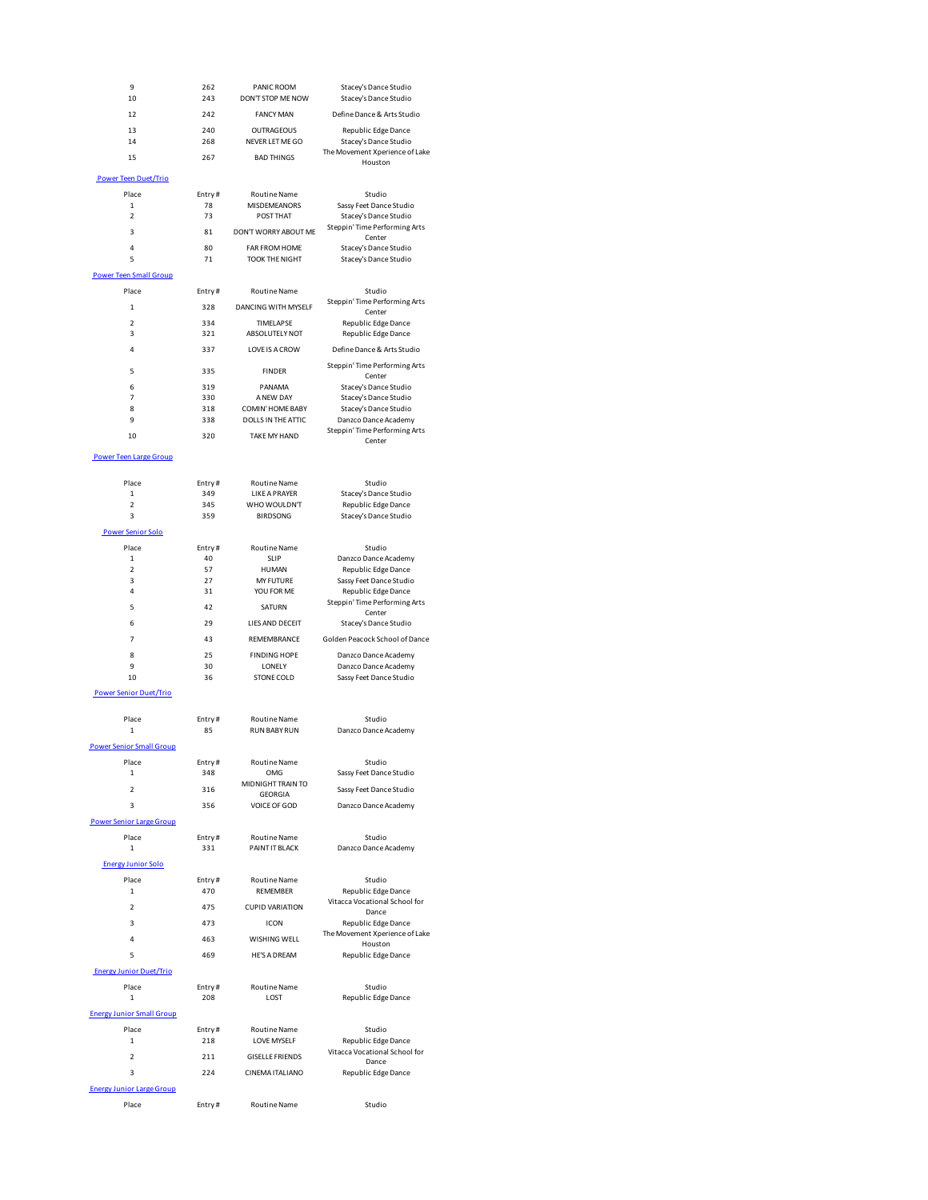| 9<br>10                          | 262<br>243    | PANIC ROOM<br>DON'T STOP ME NOW               | Stacey's Dance Studio<br>Stacey's Dance Studio         |
|----------------------------------|---------------|-----------------------------------------------|--------------------------------------------------------|
| 12                               | 242           | <b>FANCY MAN</b>                              | Define Dance & Arts Studio                             |
| 13                               | 240           | <b>OUTRAGEOUS</b>                             | Republic Edge Dance                                    |
| 14                               | 268           | NEVER LET ME GO                               | Stacey's Dance Studio                                  |
| 15                               | 267           | <b>BAD THINGS</b>                             | The Movement Xperience of Lake<br>Houston              |
| <b>Power Teen Duet/Trio</b>      |               |                                               |                                                        |
| Place                            | Entry#        | <b>Routine Name</b>                           | Studio                                                 |
| 1                                | 78            | MISDEMEANORS                                  | Sassy Feet Dance Studio                                |
| 2                                | 73            | POST THAT                                     | Stacey's Dance Studio<br>Steppin' Time Performing Arts |
| 3                                | 81            | DON'T WORRY ABOUT ME                          | Center                                                 |
| 4<br>5                           | 80<br>71      | FAR FROM HOME<br><b>TOOK THE NIGHT</b>        | Stacey's Dance Studio<br>Stacey's Dance Studio         |
| <b>Power Teen Small Group</b>    |               |                                               |                                                        |
| Place                            | Entry#        | <b>Routine Name</b>                           | Studio                                                 |
| 1                                | 328           | DANCING WITH MYSELF                           | Steppin' Time Performing Arts                          |
| $\overline{2}$                   | 334           | TIMELAPSE                                     | Center<br>Republic Edge Dance                          |
| 3                                | 321           | ABSOLUTELY NOT                                | Republic Edge Dance                                    |
| 4                                | 337           | <b>LOVE IS A CROW</b>                         | Define Dance & Arts Studio                             |
| 5                                | 335           | <b>FINDER</b>                                 | Steppin' Time Performing Arts                          |
| 6                                | 319           | PANAMA                                        | Center<br>Stacey's Dance Studio                        |
| 7                                | 330           | A NEW DAY                                     | Stacey's Dance Studio                                  |
| 8                                | 318           | COMIN' HOME BABY<br><b>DOLLS IN THE ATTIC</b> | Stacey's Dance Studio                                  |
| 9                                | 338           |                                               | Danzco Dance Academy<br>Steppin' Time Performing Arts  |
| 10                               | 320           | <b>TAKE MY HAND</b>                           | Center                                                 |
| <b>Power Teen Large Group</b>    |               |                                               |                                                        |
| Place                            |               |                                               |                                                        |
| 1                                | Entry#<br>349 | <b>Routine Name</b><br><b>LIKE A PRAYER</b>   | Studio<br>Stacey's Dance Studio                        |
| $\overline{a}$                   | 345           | WHO WOULDN'T                                  | Republic Edge Dance                                    |
| 3                                | 359           | <b>BIRDSONG</b>                               | Stacey's Dance Studio                                  |
| Power Senior Solo                |               |                                               |                                                        |
| Place<br>$\mathbf{1}$            | Entry#<br>40  | <b>Routine Name</b><br>SLIP                   | Studio<br>Danzco Dance Academy                         |
| $\overline{2}$                   | 57            | <b>HUMAN</b>                                  | Republic Edge Dance                                    |
| 3<br>4                           | 27            | <b>MY FUTURE</b>                              | Sassy Feet Dance Studio                                |
|                                  | 31            | YOU FOR ME                                    | Republic Edge Dance<br>Steppin' Time Performing Arts   |
| 5                                | 42            | SATURN                                        | Center                                                 |
| 6                                | 29            | LIES AND DECEIT                               | Stacey's Dance Studio                                  |
| 7                                | 43            | REMEMBRANCE                                   | Golden Peacock School of Dance                         |
| 8<br>9                           | 25<br>30      | <b>FINDING HOPE</b><br>LONELY                 | Danzco Dance Academy<br>Danzco Dance Academy           |
| 10                               | 36            | <b>STONE COLD</b>                             | Sassy Feet Dance Studio                                |
| <b>Power Senior Duet/Trio</b>    |               |                                               |                                                        |
| Place                            | Entry#        | <b>Routine Name</b>                           | Studio                                                 |
| 1                                | 85            | <b>RUN BABY RUN</b>                           | Danzco Dance Academy                                   |
| <b>Power Senior Small Group</b>  |               |                                               |                                                        |
| Place                            | Entry#        | <b>Routine Name</b>                           | Studio                                                 |
| 1                                | 348           | OMG                                           | Sassy Feet Dance Studio                                |
| 2                                | 316           | MIDNIGHT TRAIN TO<br>GEORGIA                  | Sassy Feet Dance Studio                                |
| 3                                | 356           | VOICE OF GOD                                  | Danzco Dance Academy                                   |
| <b>Power Senior Large Group</b>  |               |                                               |                                                        |
| Place<br>1                       | Entry#<br>331 | Routine Name<br>PAINT IT BLACK                | Studio<br>Danzco Dance Academy                         |
|                                  |               |                                               |                                                        |
| <b>Energy Junior Solo</b>        |               |                                               |                                                        |
| Place<br>1                       | Entry#<br>470 | Routine Name<br>REMEMBER                      | Studio<br>Republic Edge Dance                          |
| $\overline{\mathbf{2}}$          | 475           | <b>CUPID VARIATION</b>                        | Vitacca Vocational School for                          |
| 3                                | 473           | <b>ICON</b>                                   | Dance<br>Republic Edge Dance                           |
| 4                                | 463           | WISHING WELL                                  | The Movement Xperience of Lake                         |
| 5                                | 469           | <b>HE'S A DREAM</b>                           | Houston<br>Republic Edge Dance                         |
| <b>Energy Junior Duet/Trio</b>   |               |                                               |                                                        |
| Place                            | Entry#        | Routine Name                                  | Studio                                                 |
| 1                                | 208           | LOST                                          | Republic Edge Dance                                    |
| <b>Energy Junior Small Group</b> |               |                                               |                                                        |
| Place                            | Entry#        | <b>Routine Name</b>                           | Studio                                                 |
| 1                                | 218           | LOVE MYSELF                                   | Republic Edge Dance                                    |
| 2                                | 211           | <b>GISELLE FRIENDS</b>                        | Vitacca Vocational School for<br>Dance                 |
| 3                                | 224           | CINEMA ITALIANO                               | Republic Edge Dance                                    |
| <b>Energy Junior Large Group</b> |               |                                               |                                                        |
| Place                            | Entry#        | <b>Routine Name</b>                           | Studio                                                 |
|                                  |               |                                               |                                                        |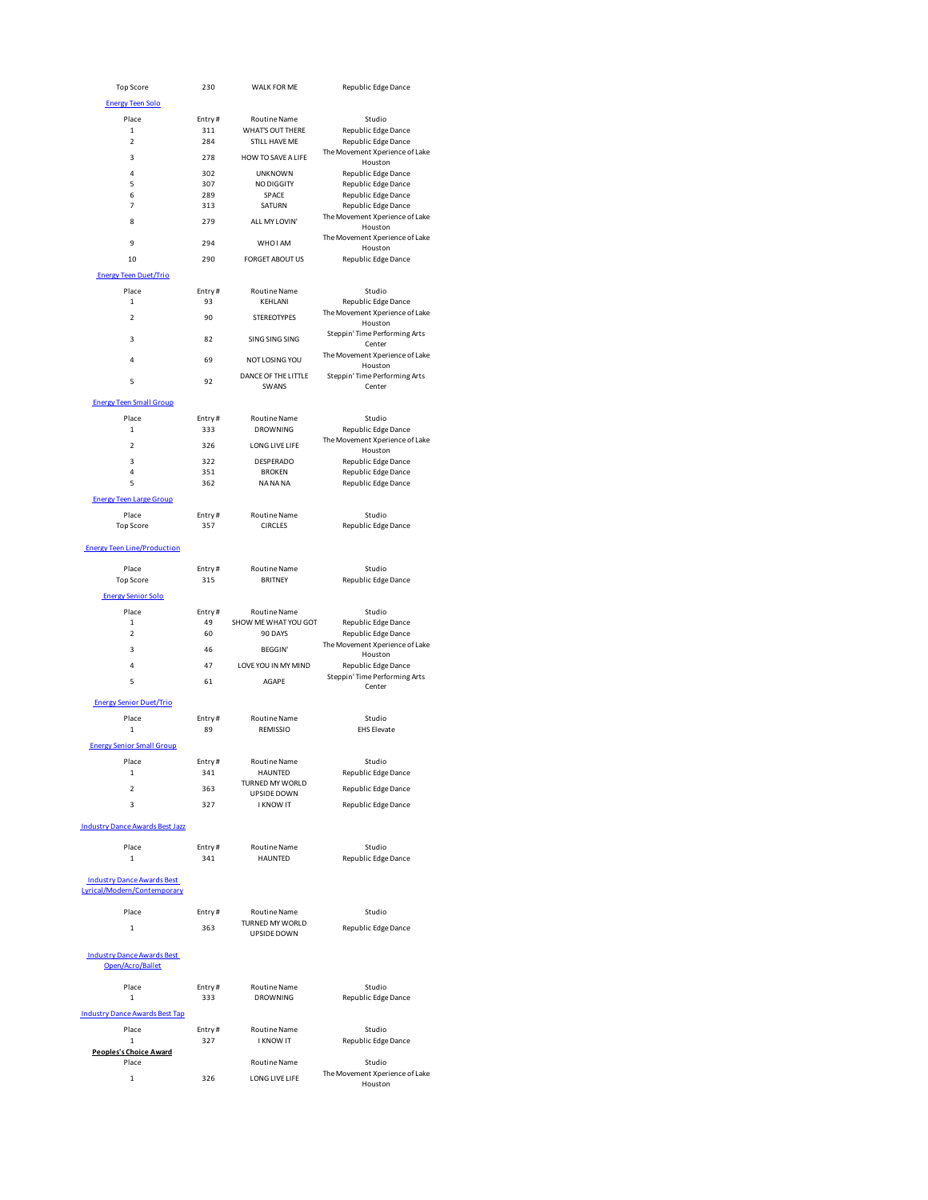| <b>Top Score</b>                                                                                           | 230           | WALK FOR ME                             | Republic Edge Dance                                   |
|------------------------------------------------------------------------------------------------------------|---------------|-----------------------------------------|-------------------------------------------------------|
| <b>Energy Teen Solo</b>                                                                                    |               |                                         |                                                       |
|                                                                                                            |               |                                         |                                                       |
| Place<br>$\mathbf{1}$                                                                                      | Entry#<br>311 | <b>Routine Name</b><br>WHAT'S OUT THERE | Studio<br>Republic Edge Dance                         |
| $\overline{2}$                                                                                             | 284           | <b>STILL HAVE ME</b>                    | Republic Edge Dance                                   |
|                                                                                                            |               |                                         | The Movement Xperience of Lake                        |
| 3                                                                                                          | 278           | HOW TO SAVE A LIFE                      | Houston                                               |
| 4                                                                                                          | 302           | <b>UNKNOWN</b>                          | Republic Edge Dance                                   |
| 5                                                                                                          | 307           | NO DIGGITY                              | Republic Edge Dance                                   |
| 6                                                                                                          | 289           | SPACE                                   | Republic Edge Dance                                   |
| $\overline{7}$                                                                                             | 313           | SATURN                                  | Republic Edge Dance                                   |
| 8                                                                                                          | 279           | ALL MY LOVIN'                           | The Movement Xperience of Lake<br>Houston             |
| 9                                                                                                          | 294           | WHO I AM                                | The Movement Xperience of Lake<br>Houston             |
| 10                                                                                                         | 290           | <b>FORGET ABOUT US</b>                  | Republic Edge Dance                                   |
| <b>Energy Teen Duet/Trio</b>                                                                               |               |                                         |                                                       |
| Place                                                                                                      | Entry#        | <b>Routine Name</b>                     | Studio                                                |
| $\mathbf 1$                                                                                                | 93            | KEHLANI                                 | Republic Edge Dance                                   |
| $\overline{\mathbf{c}}$                                                                                    | 90            | <b>STEREOTYPES</b>                      | The Movement Xperience of Lake                        |
| 3                                                                                                          | 82            | <b>SING SING SING</b>                   | Houston<br>Steppin' Time Performing Arts              |
| $\overline{4}$                                                                                             | 69            | NOT LOSING YOU                          | Center<br>The Movement Xperience of Lake              |
|                                                                                                            |               | DANCE OF THE LITTLE                     | Houston<br>Steppin' Time Performing Arts              |
| 5                                                                                                          | 92            | SWANS                                   | Center                                                |
| <b>Energy Teen Small Group</b>                                                                             |               |                                         |                                                       |
| Place<br>$\mathbf 1$                                                                                       | Entry#<br>333 | <b>Routine Name</b><br><b>DROWNING</b>  | Studio<br>Republic Edge Dance                         |
| $\overline{\mathbf{c}}$                                                                                    | 326           | LONG LIVE LIFE                          | The Movement Xperience of Lake                        |
|                                                                                                            |               |                                         | Houston                                               |
| 3                                                                                                          | 322           | DESPERADO                               | Republic Edge Dance                                   |
| 4<br>5                                                                                                     | 351<br>362    | <b>BROKEN</b><br>NA NA NA               | Republic Edge Dance<br>Republic Edge Dance            |
|                                                                                                            |               |                                         |                                                       |
| <b>Energy Teen Large Group</b>                                                                             |               |                                         |                                                       |
| Place                                                                                                      | Entry#        | <b>Routine Name</b>                     | Studio                                                |
| <b>Top Score</b>                                                                                           | 357           | <b>CIRCLES</b>                          | Republic Edge Dance                                   |
| <b>Energy Teen Line/Production</b>                                                                         |               |                                         |                                                       |
|                                                                                                            |               |                                         |                                                       |
| Place                                                                                                      | Entry#        | <b>Routine Name</b>                     | Studio                                                |
| <b>Top Score</b>                                                                                           | 315           | <b>BRITNEY</b>                          | Republic Edge Dance                                   |
| <b>Energy Senior Solo</b>                                                                                  |               |                                         |                                                       |
|                                                                                                            |               |                                         |                                                       |
|                                                                                                            |               |                                         |                                                       |
| Place                                                                                                      | Entry#        | <b>Routine Name</b>                     | Studio                                                |
| $\mathbf 1$                                                                                                | 49            | SHOW ME WHAT YOU GOT                    | Republic Edge Dance                                   |
| $\overline{\mathbf{2}}$                                                                                    | 60            | 90 DAYS                                 | Republic Edge Dance<br>The Movement Xperience of Lake |
| 3                                                                                                          | 46            | <b>BEGGIN'</b>                          | Houston                                               |
| 4                                                                                                          | 47            | LOVE YOU IN MY MIND                     | Republic Edge Dance                                   |
| 5                                                                                                          | 61            | AGAPE                                   | Steppin' Time Performing Arts                         |
|                                                                                                            |               |                                         | Center                                                |
| <b>Energy Senior Duet/Trio</b>                                                                             |               |                                         |                                                       |
| Place                                                                                                      | Entry#        | <b>Routine Name</b>                     | Studio                                                |
| 1                                                                                                          | 89            | REMISSIO                                | <b>EHS Elevate</b>                                    |
| <b>Energy Senior Small Group</b>                                                                           |               |                                         |                                                       |
|                                                                                                            |               |                                         |                                                       |
| Place                                                                                                      | Entry#        | <b>Routine Name</b>                     | Studio                                                |
| 1                                                                                                          | 341           | HAUNTED<br>TURNED MY WORLD              | Republic Edge Dance                                   |
| 2                                                                                                          | 363           | UPSIDE DOWN                             | Republic Edge Dance                                   |
| 3                                                                                                          | 327           | <b>I KNOW IT</b>                        | Republic Edge Dance                                   |
|                                                                                                            |               |                                         |                                                       |
|                                                                                                            |               |                                         |                                                       |
| Place                                                                                                      | Entry#        | Routine Name                            | Studio                                                |
| 1                                                                                                          | 341           | HAUNTED                                 | Republic Edge Dance                                   |
| <b>Industry Dance Awards Best Jazz</b><br><b>Industry Dance Awards Best</b><br>Lyrical/Modern/Contemporary |               |                                         |                                                       |
|                                                                                                            |               |                                         |                                                       |
| Place                                                                                                      | Entry#        | Routine Name                            | Studio                                                |
| $\mathbf{1}$                                                                                               | 363           | TURNED MY WORLD                         | Republic Edge Dance                                   |
|                                                                                                            |               | UPSIDE DOWN                             |                                                       |
| <b>Industry Dance Awards Best</b><br>Open/Acro/Ballet                                                      |               |                                         |                                                       |
|                                                                                                            |               |                                         |                                                       |
| Place                                                                                                      | Entry#        | Routine Name                            | Studio                                                |
| 1                                                                                                          | 333           | DROWNING                                | Republic Edge Dance                                   |
|                                                                                                            |               |                                         |                                                       |
| Place                                                                                                      | Entry#        | Routine Name                            | Studio                                                |
| $\mathbf 1$                                                                                                | 327           | <b>I KNOW IT</b>                        | Republic Edge Dance                                   |
| <b>Industry Dance Awards Best Tap</b><br>Peoples's Choice Award                                            |               |                                         |                                                       |
| Place                                                                                                      |               | Routine Name                            | Studio                                                |
| $\mathbf{1}$                                                                                               | 326           | LONG LIVE LIFE                          | The Movement Xperience of Lake                        |
|                                                                                                            |               |                                         | Houston                                               |